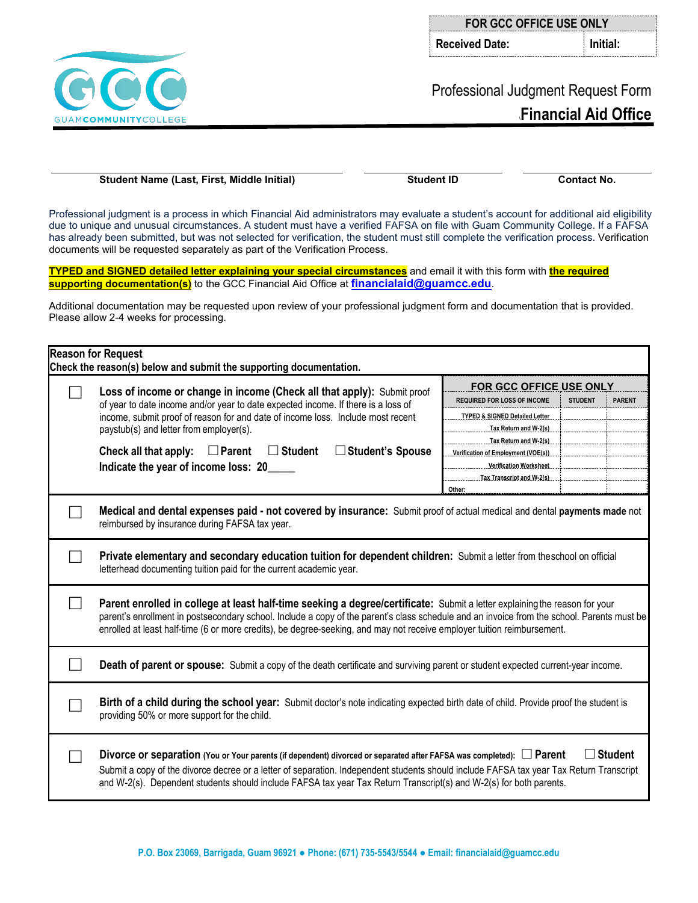**P.O. Box 23069, Barrigada, Guam 96921 ● Phone: (671) 735-5543/5544 ● Email: financialaid@guamcc.edu**

| <b>FOR GCC OFFICE USE ONLY</b> |                      |  |  |
|--------------------------------|----------------------|--|--|
| Received Date:                 | $\parallel$ Initial: |  |  |

## Professional Judgment Request Form **\Financial Aid Office**

**Student Name (Last, First, Middle Initial) Student ID Contact No.**

Professional judgment is a process in which Financial Aid administrators may evaluate a student's account for additional aid eligibility due to unique and unusual circumstances. A student must have a verified FAFSA on file with Guam Community College. If a FAFSA has already been submitted, but was not selected for verification, the student must still complete the verification process. Verification documents will be requested separately as part of the Verification Process.

**TYPED and SIGNED detailed letter explaining your special circumstances** and email it with this form with **the required supporting documentation(s)** to the GCC Financial Aid Office at **[financialaid@guamcc.edu](mailto:financialaid@guamcc.edu)**.

Additional documentation may be requested upon review of your professional judgment form and documentation that is provided. Please allow 2-4 weeks for processing.

|  | Check the reason(s) below and submit the supporting documentation.                                                                                                                                                                                                                                                                                                                                                        |                                           |                |               |  |  |  |
|--|---------------------------------------------------------------------------------------------------------------------------------------------------------------------------------------------------------------------------------------------------------------------------------------------------------------------------------------------------------------------------------------------------------------------------|-------------------------------------------|----------------|---------------|--|--|--|
|  | Loss of income or change in income (Check all that apply): Submit proof<br>of year to date income and/or year to date expected income. If there is a loss of<br>income, submit proof of reason for and date of income loss. Include most recent<br>paystub(s) and letter from employer(s).<br>Check all that apply:<br>$\Box$ Parent<br>$\Box$ Student<br>$\Box$ Student's Spouse<br>Indicate the year of income loss: 20 | FOR GCC OFFICE USE ONLY                   |                |               |  |  |  |
|  |                                                                                                                                                                                                                                                                                                                                                                                                                           | <b>REQUIRED FOR LOSS OF INCOME</b>        | <b>STUDENT</b> | <b>PARENT</b> |  |  |  |
|  |                                                                                                                                                                                                                                                                                                                                                                                                                           | <b>TYPED &amp; SIGNED Detailed Letter</b> |                |               |  |  |  |
|  |                                                                                                                                                                                                                                                                                                                                                                                                                           | Tax Return and W-2(s)                     |                |               |  |  |  |
|  |                                                                                                                                                                                                                                                                                                                                                                                                                           | Tax Return and W-2(s)                     |                |               |  |  |  |
|  |                                                                                                                                                                                                                                                                                                                                                                                                                           | Verification of Employment (VOE(s))       |                |               |  |  |  |
|  |                                                                                                                                                                                                                                                                                                                                                                                                                           | <b>Verification Worksheet</b>             |                |               |  |  |  |
|  |                                                                                                                                                                                                                                                                                                                                                                                                                           | Tax Transcript and W-2(s)                 |                |               |  |  |  |
|  |                                                                                                                                                                                                                                                                                                                                                                                                                           | Other:                                    |                |               |  |  |  |
|  | Medical and dental expenses paid - not covered by insurance: Submit proof of actual medical and dental payments made not<br>reimbursed by insurance during FAFSA tax year.                                                                                                                                                                                                                                                |                                           |                |               |  |  |  |
|  | Private elementary and secondary education tuition for dependent children: Submit a letter from theschool on official<br>letterhead documenting tuition paid for the current academic year.                                                                                                                                                                                                                               |                                           |                |               |  |  |  |
|  | Parent enrolled in college at least half-time seeking a degree/certificate: Submit a letter explaining the reason for your<br>parent's enrollment in postsecondary school. Include a copy of the parent's class schedule and an invoice from the school. Parents must be<br>enrolled at least half-time (6 or more credits), be degree-seeking, and may not receive employer tuition reimbursement.                       |                                           |                |               |  |  |  |
|  | Death of parent or spouse: Submit a copy of the death certificate and surviving parent or student expected current-year income.                                                                                                                                                                                                                                                                                           |                                           |                |               |  |  |  |
|  | Birth of a child during the school year: Submit doctor's note indicating expected birth date of child. Provide proof the student is<br>providing 50% or more support for the child.                                                                                                                                                                                                                                       |                                           |                |               |  |  |  |
|  | $\Box$ Student<br>Divorce or separation (You or Your parents (if dependent) divorced or separated after FAFSA was completed): $\Box$ Parent<br>Submit a copy of the divorce decree or a letter of separation. Independent students should include FAFSA tax year Tax Return Transcript<br>and W-2(s). Dependent students should include FAFSA tax year Tax Return Transcript(s) and W-2(s) for both parents.              |                                           |                |               |  |  |  |



**Reason for Request**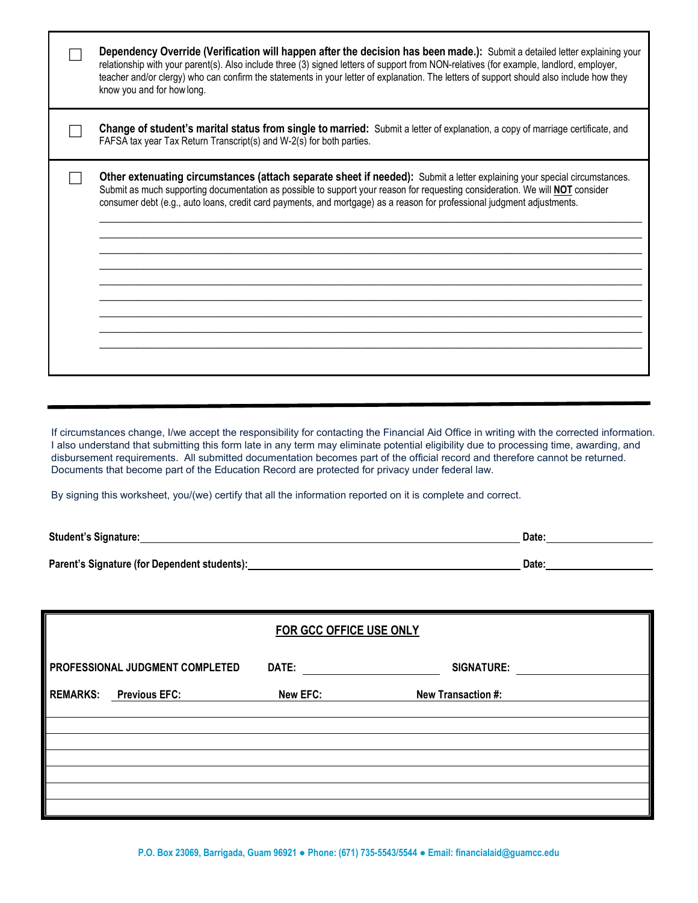| Dependency Override (Verification will happen after the decision has been made.): Submit a detailed letter explaining your<br>relationship with your parent(s). Also include three (3) signed letters of support from NON-relatives (for example, landlord, employer,<br>teacher and/or clergy) who can confirm the statements in your letter of explanation. The letters of support should also include how they<br>know you and for how long. |
|-------------------------------------------------------------------------------------------------------------------------------------------------------------------------------------------------------------------------------------------------------------------------------------------------------------------------------------------------------------------------------------------------------------------------------------------------|
| Change of student's marital status from single to married: Submit a letter of explanation, a copy of marriage certificate, and<br>FAFSA tax year Tax Return Transcript(s) and W-2(s) for both parties.                                                                                                                                                                                                                                          |
| Other extenuating circumstances (attach separate sheet if needed): Submit a letter explaining your special circumstances.<br>Submit as much supporting documentation as possible to support your reason for requesting consideration. We will NOT consider<br>consumer debt (e.g., auto loans, credit card payments, and mortgage) as a reason for professional judgment adjustments.                                                           |

If circumstances change, I/we accept the responsibility for contacting the Financial Aid Office in writing with the corrected information. I also understand that submitting this form late in any term may eliminate potential eligibility due to processing time, awarding, and disbursement requirements. All submitted documentation becomes part of the official record and therefore cannot be returned. Documents that become part of the Education Record are protected for privacy under federal law.

By signing this worksheet, you/(we) certify that all the information reported on it is complete and correct.

| <b>Student's Signature:</b>                  | Date: |
|----------------------------------------------|-------|
|                                              |       |
| Parent's Signature (for Dependent students): | Date: |

| FOR GCC OFFICE USE ONLY |                                        |          |                    |  |
|-------------------------|----------------------------------------|----------|--------------------|--|
|                         | <b>PROFESSIONAL JUDGMENT COMPLETED</b> | DATE:    | <b>SIGNATURE:</b>  |  |
| <b>REMARKS:</b>         | <b>Previous EFC:</b>                   | New EFC: | New Transaction #: |  |
|                         |                                        |          |                    |  |
|                         |                                        |          |                    |  |
|                         |                                        |          |                    |  |
|                         |                                        |          |                    |  |

**P.O. Box 23069, Barrigada, Guam 96921 ● Phone: (671) 735-5543/5544 ● Email: financialaid@guamcc.edu**